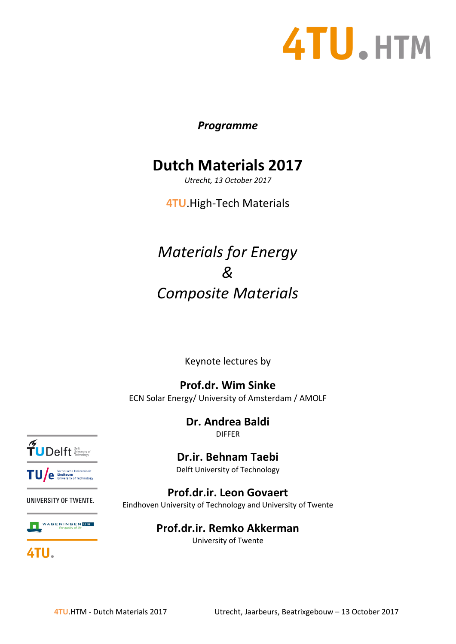# 4TU.HTM

#### *Programme*

### **Dutch Materials 2017**

*Utrecht, 13 October 2017*

**4TU**.High-Tech Materials

## *Materials for Energy & Composite Materials*

Keynote lectures by

**Prof.dr. Wim Sinke** ECN Solar Energy/ University of Amsterdam / AMOLF

> **Dr. Andrea Baldi** DIFFER

**Dr.ir. Behnam Taebi**

Delft University of Technology

**Prof.dr.ir. Leon Govaert** Eindhoven University of Technology and University of Twente

> **Prof.dr.ir. Remko Akkerman** University of Twente



TU/e Eindhoven<br>University of Technology

#### **UNIVERSITY OF TWENTE.**



4TU.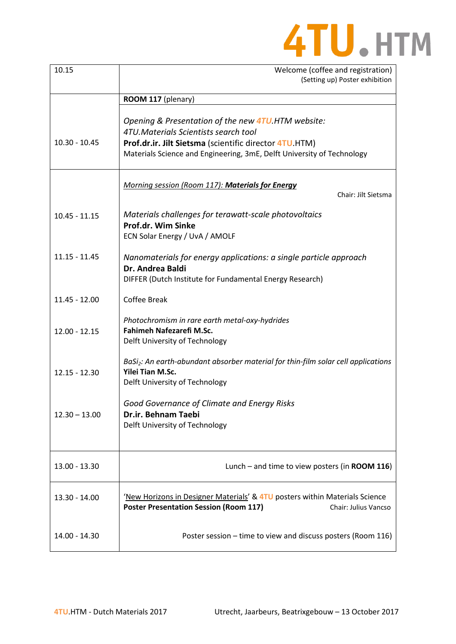

| 10.15           | Welcome (coffee and registration)<br>(Setting up) Poster exhibition                                                                                                                                                                    |
|-----------------|----------------------------------------------------------------------------------------------------------------------------------------------------------------------------------------------------------------------------------------|
|                 | ROOM 117 (plenary)                                                                                                                                                                                                                     |
| $10.30 - 10.45$ | Opening & Presentation of the new <b>4TU</b> .HTM website:<br>4TU.Materials Scientists search tool<br>Prof.dr.ir. Jilt Sietsma (scientific director 4TU HTM)<br>Materials Science and Engineering, 3mE, Delft University of Technology |
|                 | Morning session (Room 117): Materials for Energy<br>Chair: Jilt Sietsma                                                                                                                                                                |
| $10.45 - 11.15$ | Materials challenges for terawatt-scale photovoltaics<br>Prof.dr. Wim Sinke<br>ECN Solar Energy / UvA / AMOLF                                                                                                                          |
| $11.15 - 11.45$ | Nanomaterials for energy applications: a single particle approach<br>Dr. Andrea Baldi<br>DIFFER (Dutch Institute for Fundamental Energy Research)                                                                                      |
| $11.45 - 12.00$ | <b>Coffee Break</b>                                                                                                                                                                                                                    |
| $12.00 - 12.15$ | Photochromism in rare earth metal-oxy-hydrides<br>Fahimeh Nafezarefi M.Sc.<br>Delft University of Technology                                                                                                                           |
| $12.15 - 12.30$ | BaSi <sub>2</sub> : An earth-abundant absorber material for thin-film solar cell applications<br>Yilei Tian M.Sc.<br>Delft University of Technology                                                                                    |
| $12.30 - 13.00$ | Good Governance of Climate and Energy Risks<br>Dr.ir. Behnam Taebi<br>Delft University of Technology                                                                                                                                   |
| 13.00 - 13.30   | Lunch - and time to view posters (in ROOM 116)                                                                                                                                                                                         |
| $13.30 - 14.00$ | 'New Horizons in Designer Materials' & 4TU posters within Materials Science<br><b>Poster Presentation Session (Room 117)</b><br>Chair: Julius Vancso                                                                                   |
| 14.00 - 14.30   | Poster session - time to view and discuss posters (Room 116)                                                                                                                                                                           |